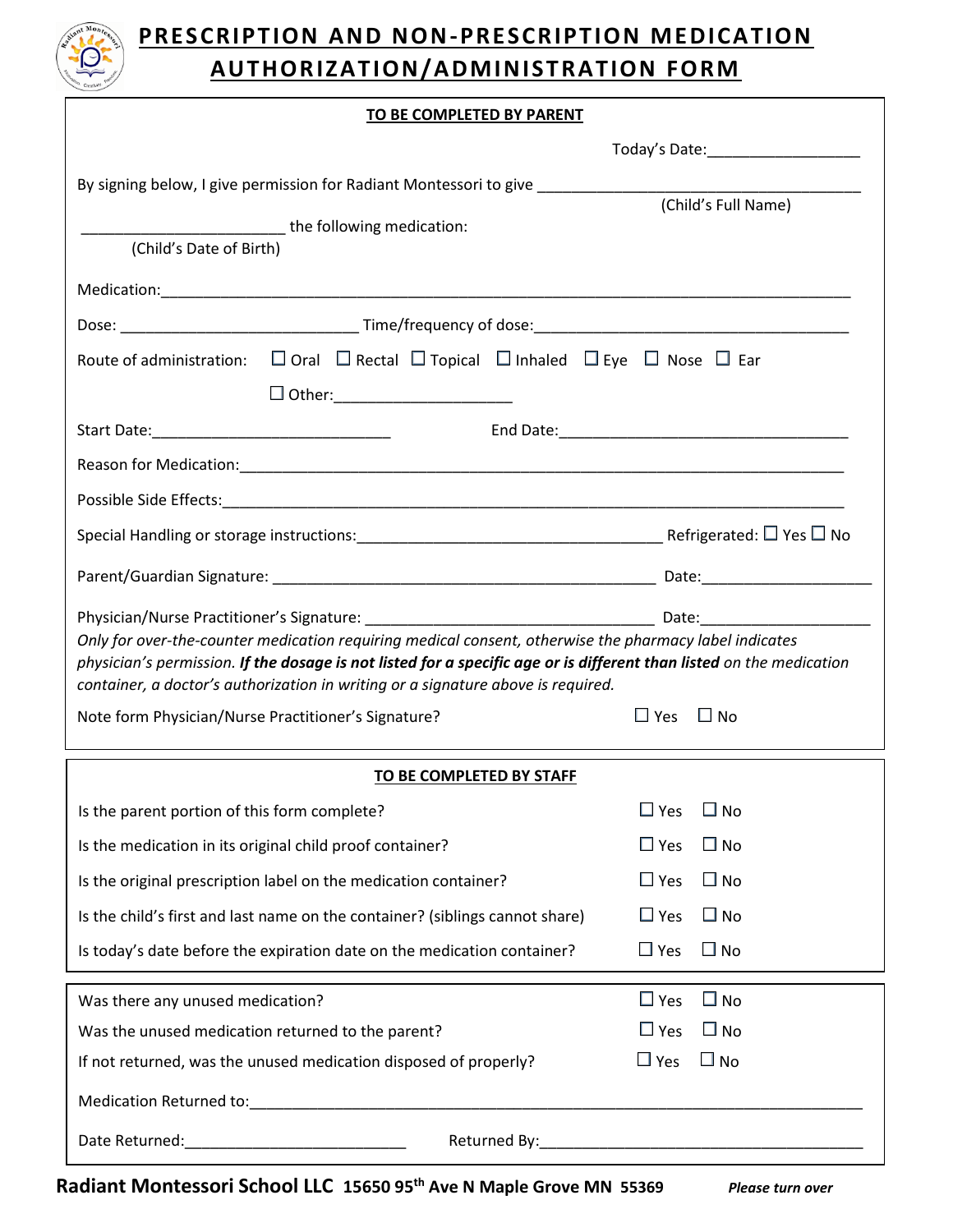

## **PRESCRIPTION AND NON-PRESCRIPTION MEDICATION AUTHORIZATION/ADMINISTRATION FORM**

## **TO BE COMPLETED BY PARENT**

|                                                                                                                                                                                                                                                                                                                                                                           | Today's Date:______________________                                                                                                                                                                                            |  |
|---------------------------------------------------------------------------------------------------------------------------------------------------------------------------------------------------------------------------------------------------------------------------------------------------------------------------------------------------------------------------|--------------------------------------------------------------------------------------------------------------------------------------------------------------------------------------------------------------------------------|--|
| By signing below, I give permission for Radiant Montessori to give ________________________________                                                                                                                                                                                                                                                                       |                                                                                                                                                                                                                                |  |
| _________________the following medication:                                                                                                                                                                                                                                                                                                                                | (Child's Full Name)                                                                                                                                                                                                            |  |
| (Child's Date of Birth)                                                                                                                                                                                                                                                                                                                                                   |                                                                                                                                                                                                                                |  |
|                                                                                                                                                                                                                                                                                                                                                                           |                                                                                                                                                                                                                                |  |
|                                                                                                                                                                                                                                                                                                                                                                           |                                                                                                                                                                                                                                |  |
| Route of administration: $\Box$ Oral $\Box$ Rectal $\Box$ Topical $\Box$ Inhaled $\Box$ Eye $\Box$ Nose $\Box$ Ear                                                                                                                                                                                                                                                        |                                                                                                                                                                                                                                |  |
| $\Box$ Other:_______________________                                                                                                                                                                                                                                                                                                                                      |                                                                                                                                                                                                                                |  |
| Start Date: National Accounts and Accounts and Accounts and Accounts and Accounts and Accounts and Accounts and                                                                                                                                                                                                                                                           | End Date: Note: Note: Note: Note: Note: Note: Note: Note: Note: Note: Note: Note: Note: Note: Note: Note: Note: Note: Note: Note: Note: Note: Note: Note: Note: Note: Note: Note: Note: Note: Note: Note: Note: Note: Note: No |  |
|                                                                                                                                                                                                                                                                                                                                                                           |                                                                                                                                                                                                                                |  |
|                                                                                                                                                                                                                                                                                                                                                                           |                                                                                                                                                                                                                                |  |
|                                                                                                                                                                                                                                                                                                                                                                           |                                                                                                                                                                                                                                |  |
|                                                                                                                                                                                                                                                                                                                                                                           |                                                                                                                                                                                                                                |  |
|                                                                                                                                                                                                                                                                                                                                                                           |                                                                                                                                                                                                                                |  |
| Only for over-the-counter medication requiring medical consent, otherwise the pharmacy label indicates<br>physician's permission. If the dosage is not listed for a specific age or is different than listed on the medication<br>container, a doctor's authorization in writing or a signature above is required.<br>Note form Physician/Nurse Practitioner's Signature? | $\Box$ Yes<br>$\square$ No                                                                                                                                                                                                     |  |
| TO BE COMPLETED BY STAFF                                                                                                                                                                                                                                                                                                                                                  |                                                                                                                                                                                                                                |  |
| Is the parent portion of this form complete?                                                                                                                                                                                                                                                                                                                              | $\Box$ Yes<br>$\square$ No                                                                                                                                                                                                     |  |
| Is the medication in its original child proof container?                                                                                                                                                                                                                                                                                                                  | $\Box$ Yes<br>$\square$ No                                                                                                                                                                                                     |  |
| Is the original prescription label on the medication container?                                                                                                                                                                                                                                                                                                           | $\Box$ Yes<br>$\square$ No                                                                                                                                                                                                     |  |
| Is the child's first and last name on the container? (siblings cannot share)                                                                                                                                                                                                                                                                                              | $\square$ No<br>$\Box$ Yes                                                                                                                                                                                                     |  |
| Is today's date before the expiration date on the medication container?                                                                                                                                                                                                                                                                                                   | $\Box$ Yes<br>$\Box$ No                                                                                                                                                                                                        |  |
| Was there any unused medication?                                                                                                                                                                                                                                                                                                                                          | $\square$ No<br>$\Box$ Yes                                                                                                                                                                                                     |  |
| Was the unused medication returned to the parent?                                                                                                                                                                                                                                                                                                                         | $\Box$ Yes<br>$\square$ No                                                                                                                                                                                                     |  |
| If not returned, was the unused medication disposed of properly?                                                                                                                                                                                                                                                                                                          | $\Box$ No<br>$\square$ Yes                                                                                                                                                                                                     |  |
|                                                                                                                                                                                                                                                                                                                                                                           |                                                                                                                                                                                                                                |  |

**Radiant Montessori School LLC 15650 95th Ave N Maple Grove MN 55369** *Please turn over*